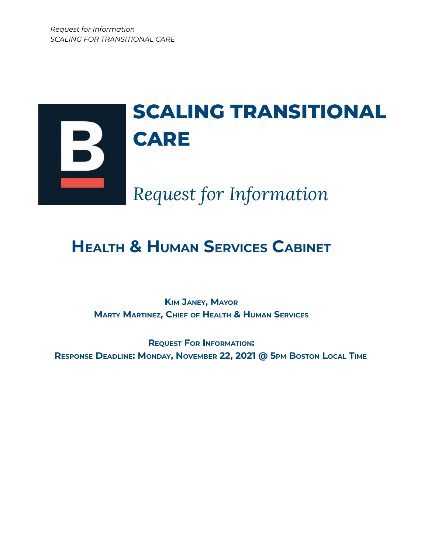

# **HEALTH & HUMAN SERVICES CABINET**

**KIM JANEY, MAYOR MARTY MARTINEZ, CHIEF OF HEALTH & HUMAN SERVICES**

**REQUEST FOR INFORMATION: RESPONSE DEADLINE: MONDAY, NOVEMBER 22, 2021 @ 5PM BOSTON LOCAL TIME**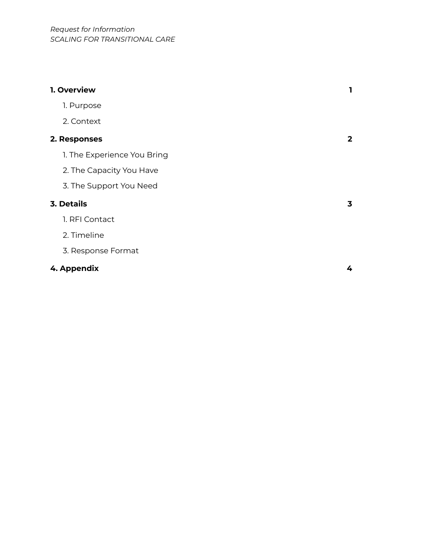| 1. Overview                 | 1            |
|-----------------------------|--------------|
| 1. Purpose                  |              |
| 2. Context                  |              |
| 2. Responses                | $\mathbf{2}$ |
| 1. The Experience You Bring |              |
| 2. The Capacity You Have    |              |
| 3. The Support You Need     |              |
| <b>3. Details</b>           | 3            |
| 1. RFI Contact              |              |
| 2. Timeline                 |              |
| 3. Response Format          |              |
| 4. Appendix                 | 4            |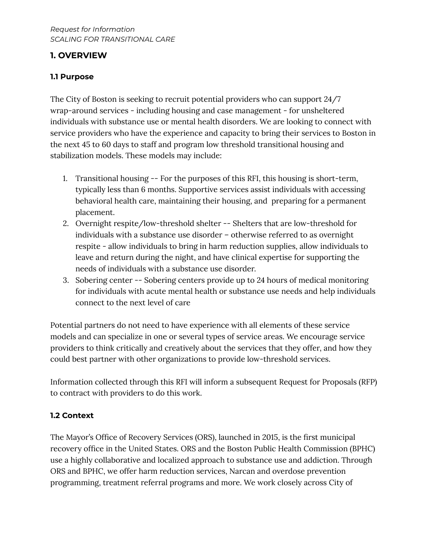# **1. OVERVIEW**

## **1.1 Purpose**

The City of Boston is seeking to recruit potential providers who can support 24/7 wrap-around services - including housing and case management - for unsheltered individuals with substance use or mental health disorders. We are looking to connect with service providers who have the experience and capacity to bring their services to Boston in the next 45 to 60 days to staff and program low threshold transitional housing and stabilization models. These models may include:

- 1. Transitional housing -- For the purposes of this RFI, this housing is short-term, typically less than 6 months. Supportive services assist individuals with accessing behavioral health care, maintaining their housing, and preparing for a permanent placement.
- 2. Overnight respite/low-threshold shelter -- Shelters that are low-threshold for individuals with a substance use disorder – otherwise referred to as overnight respite - allow individuals to bring in harm reduction supplies, allow individuals to leave and return during the night, and have clinical expertise for supporting the needs of individuals with a substance use disorder.
- 3. Sobering center -- Sobering centers provide up to 24 hours of medical monitoring for individuals with acute mental health or substance use needs and help individuals connect to the next level of care

Potential partners do not need to have experience with all elements of these service models and can specialize in one or several types of service areas. We encourage service providers to think critically and creatively about the services that they offer, and how they could best partner with other organizations to provide low-threshold services.

Information collected through this RFI will inform a subsequent Request for Proposals (RFP) to contract with providers to do this work.

# **1.2 Context**

The Mayor's Office of Recovery Services (ORS), launched in 2015, is the first municipal recovery office in the United States. ORS and the Boston Public Health Commission (BPHC) use a highly collaborative and localized approach to substance use and addiction. Through ORS and BPHC, we offer harm reduction services, Narcan and overdose prevention programming, treatment referral programs and more. We work closely across City of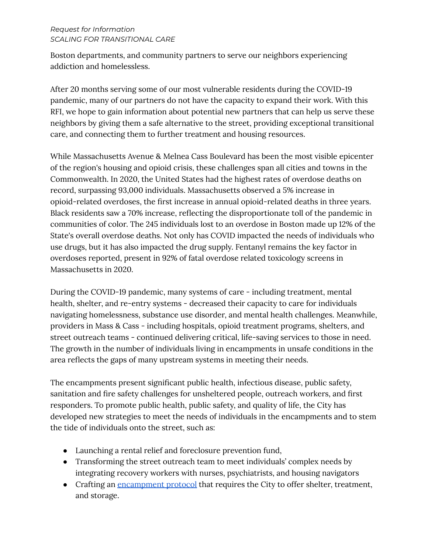#### *Request for Information SCALING FOR TRANSITIONAL CARE*

Boston departments, and community partners to serve our neighbors experiencing addiction and homelessless.

After 20 months serving some of our most vulnerable residents during the COVID-19 pandemic, many of our partners do not have the capacity to expand their work. With this RFI, we hope to gain information about potential new partners that can help us serve these neighbors by giving them a safe alternative to the street, providing exceptional transitional care, and connecting them to further treatment and housing resources.

While Massachusetts Avenue & Melnea Cass Boulevard has been the most visible epicenter of the region's housing and opioid crisis, these challenges span all cities and towns in the Commonwealth. In 2020, the United States had the highest rates of overdose deaths on record, surpassing 93,000 individuals. Massachusetts observed a 5% increase in opioid-related overdoses, the first increase in annual opioid-related deaths in three years. Black residents saw a 70% increase, reflecting the disproportionate toll of the pandemic in communities of color. The 245 individuals lost to an overdose in Boston made up 12% of the State's overall overdose deaths. Not only has COVID impacted the needs of individuals who use drugs, but it has also impacted the drug supply. Fentanyl remains the key factor in overdoses reported, present in 92% of fatal overdose related toxicology screens in Massachusetts in 2020.

During the COVID-19 pandemic, many systems of care - including treatment, mental health, shelter, and re-entry systems - decreased their capacity to care for individuals navigating homelessness, substance use disorder, and mental health challenges. Meanwhile, providers in Mass & Cass - including hospitals, opioid treatment programs, shelters, and street outreach teams - continued delivering critical, life-saving services to those in need. The growth in the number of individuals living in encampments in unsafe conditions in the area reflects the gaps of many upstream systems in meeting their needs.

The encampments present significant public health, infectious disease, public safety, sanitation and fire safety challenges for unsheltered people, outreach workers, and first responders. To promote public health, public safety, and quality of life, the City has developed new strategies to meet the needs of individuals in the encampments and to stem the tide of individuals onto the street, such as:

- Launching a rental relief and foreclosure prevention fund,
- Transforming the street outreach team to meet individuals' complex needs by integrating recovery workers with nurses, psychiatrists, and housing navigators
- Crafting an [encampment](https://www.boston.gov/news/fact-sheet-boston-homeless-encampment-liaison-protocol) protocol that requires the City to offer shelter, treatment, and storage.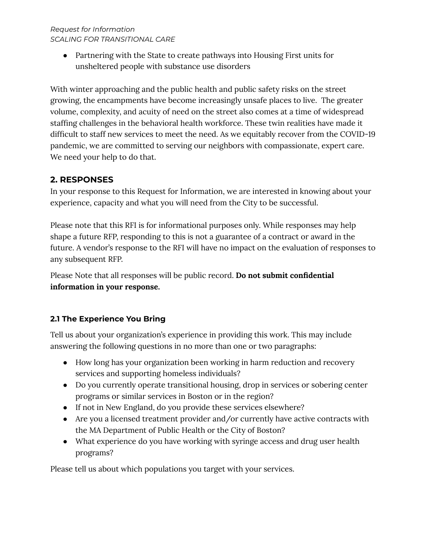*Request for Information SCALING FOR TRANSITIONAL CARE*

> • Partnering with the State to create pathways into Housing First units for unsheltered people with substance use disorders

With winter approaching and the public health and public safety risks on the street growing, the encampments have become increasingly unsafe places to live. The greater volume, complexity, and acuity of need on the street also comes at a time of widespread staffing challenges in the behavioral health workforce. These twin realities have made it difficult to staff new services to meet the need. As we equitably recover from the COVID-19 pandemic, we are committed to serving our neighbors with compassionate, expert care. We need your help to do that.

# **2. RESPONSES**

In your response to this Request for Information, we are interested in knowing about your experience, capacity and what you will need from the City to be successful.

Please note that this RFI is for informational purposes only. While responses may help shape a future RFP, responding to this is not a guarantee of a contract or award in the future. A vendor's response to the RFI will have no impact on the evaluation of responses to any subsequent RFP.

Please Note that all responses will be public record. **Do not submit confidential information in your response.**

### **2.1 The Experience You Bring**

Tell us about your organization's experience in providing this work. This may include answering the following questions in no more than one or two paragraphs:

- How long has your organization been working in harm reduction and recovery services and supporting homeless individuals?
- Do you currently operate transitional housing, drop in services or sobering center programs or similar services in Boston or in the region?
- If not in New England, do you provide these services elsewhere?
- Are you a licensed treatment provider and/or currently have active contracts with the MA Department of Public Health or the City of Boston?
- What experience do you have working with syringe access and drug user health programs?

Please tell us about which populations you target with your services.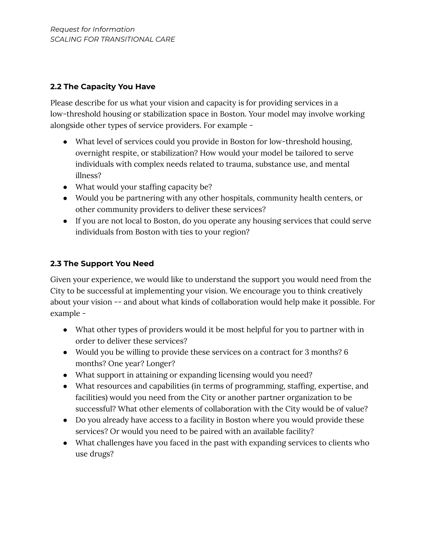## **2.2 The Capacity You Have**

Please describe for us what your vision and capacity is for providing services in a low-threshold housing or stabilization space in Boston. Your model may involve working alongside other types of service providers. For example -

- What level of services could you provide in Boston for low-threshold housing, overnight respite, or stabilization? How would your model be tailored to serve individuals with complex needs related to trauma, substance use, and mental illness?
- What would your staffing capacity be?
- Would you be partnering with any other hospitals, community health centers, or other community providers to deliver these services?
- If you are not local to Boston, do you operate any housing services that could serve individuals from Boston with ties to your region?

### **2.3 The Support You Need**

Given your experience, we would like to understand the support you would need from the City to be successful at implementing your vision. We encourage you to think creatively about your vision -- and about what kinds of collaboration would help make it possible. For example -

- What other types of providers would it be most helpful for you to partner with in order to deliver these services?
- Would you be willing to provide these services on a contract for 3 months? 6 months? One year? Longer?
- What support in attaining or expanding licensing would you need?
- What resources and capabilities (in terms of programming, staffing, expertise, and facilities) would you need from the City or another partner organization to be successful? What other elements of collaboration with the City would be of value?
- Do you already have access to a facility in Boston where you would provide these services? Or would you need to be paired with an available facility?
- What challenges have you faced in the past with expanding services to clients who use drugs?